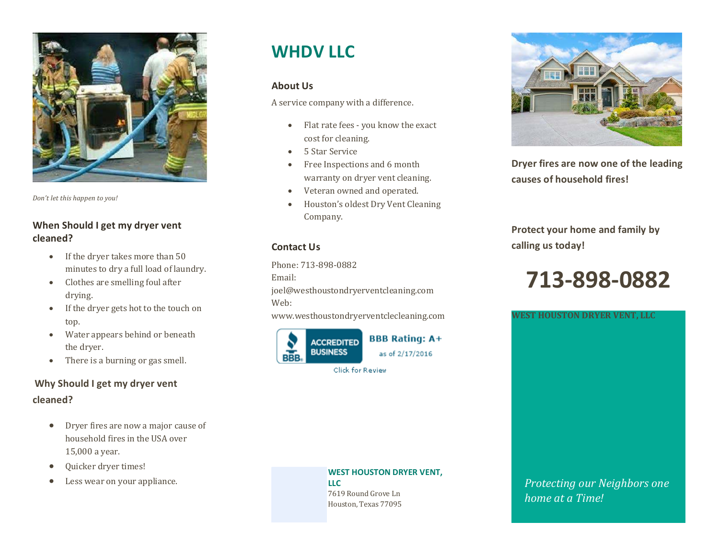

*Don't let this happen to you!*

#### **When Should I get my dryer vent cleaned?**

- If the dryer takes more than 50 minutes to dry a full load of laundry.
- Clothes are smelling foul after drying.
- If the dryer gets hot to the touch on top.
- Water appears behind or beneath the dryer.
- There is a burning or gas smell.

### **Why Should I get my dryer vent cleaned?**

- Dryer fires are now a major cause of household fires in the USA over 15,000 a year.
- Quicker dryer times!
- Less wear on your appliance.

## **WHDVIIC**

#### **About Us**

A service company with a difference.

- Flat rate fees you know the exact cost for cleaning.
- 5 Star Service
- Free Inspections and 6 month warranty on dryer vent cleaning.
- Veteran owned and operated.
- Houston's oldest Dry Vent Cleaning Company.

#### **Contact Us**

Phone: 713-898-0882 Email: joel@westhoustondryerventcleaning.com Web: www.westhoustondryerventclecleaning.com





**Dryer fires are now one of the leading causes of household fires!**

**Protect your home and family by calling us today!**

# **713-898-0882**

**WEST HOUSTON DRYER VENT, LLC**

#### **WEST HOUSTON DRYER VENT,**

**LLC** 7619 Round Grove Ln Houston, Texas 77095 *Protecting our Neighbors one home at a Time!*